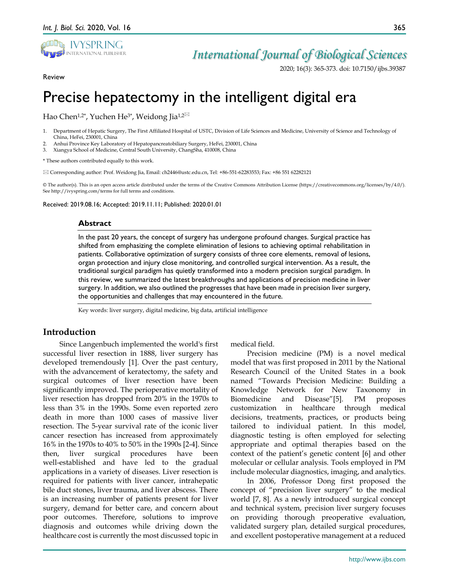

# *International Journal of Biological Sciences*

2020; 16(3): 365-373. doi: 10.7150/ijbs.39387

#### Review

# Precise hepatectomy in the intelligent digital era

Hao Chen<sup>1,2\*</sup>, Yuchen He<sup>3\*</sup>, Weidong Jia<sup>1,2 $\boxtimes$ </sup>

- 1. Department of Hepatic Surgery, The First Affiliated Hospital of USTC, Division of Life Sciences and Medicine, University of Science and Technology of China, HeFei, 230001, China
- 2. Anhui Province Key Laboratory of Hepatopancreatobiliary Surgery, HeFei, 230001, China
- 3. Xiangya School of Medicine, Central South University, ChangSha, 410008, China

\* These authors contributed equally to this work.

Corresponding author: Prof. Weidong Jia, Email: ch2446@ustc.edu.cn, Tel: +86-551-62283553; Fax: +86 551 62282121

© The author(s). This is an open access article distributed under the terms of the Creative Commons Attribution License (https://creativecommons.org/licenses/by/4.0/). See http://ivyspring.com/terms for full terms and conditions.

Received: 2019.08.16; Accepted: 2019.11.11; Published: 2020.01.01

#### **Abstract**

In the past 20 years, the concept of surgery has undergone profound changes. Surgical practice has shifted from emphasizing the complete elimination of lesions to achieving optimal rehabilitation in patients. Collaborative optimization of surgery consists of three core elements, removal of lesions, organ protection and injury close monitoring, and controlled surgical intervention. As a result, the traditional surgical paradigm has quietly transformed into a modern precision surgical paradigm. In this review, we summarized the latest breakthroughs and applications of precision medicine in liver surgery. In addition, we also outlined the progresses that have been made in precision liver surgery, the opportunities and challenges that may encountered in the future.

Key words: liver surgery, digital medicine, big data, artificial intelligence

# **Introduction**

Since Langenbuch implemented the world's first successful liver resection in 1888, liver surgery has developed tremendously [1]. Over the past century, with the advancement of keratectomy, the safety and surgical outcomes of liver resection have been significantly improved. The perioperative mortality of liver resection has dropped from 20% in the 1970s to less than 3% in the 1990s. Some even reported zero death in more than 1000 cases of massive liver resection. The 5-year survival rate of the iconic liver cancer resection has increased from approximately 16% in the 1970s to 40% to 50% in the 1990s [2-4]. Since then, liver surgical procedures have been well-established and have led to the gradual applications in a variety of diseases. Liver resection is required for patients with liver cancer, intrahepatic bile duct stones, liver trauma, and liver abscess. There is an increasing number of patients present for liver surgery, demand for better care, and concern about poor outcomes. Therefore, solutions to improve diagnosis and outcomes while driving down the healthcare cost is currently the most discussed topic in

medical field.

Precision medicine (PM) is a novel medical model that was first proposed in 2011 by the National Research Council of the United States in a book named "Towards Precision Medicine: Building a Knowledge Network for New Taxonomy in Biomedicine and Disease"[5]. PM proposes customization in healthcare through medical decisions, treatments, practices, or products being tailored to individual patient. In this model, diagnostic testing is often employed for selecting appropriate and optimal therapies based on the context of the patient's genetic content [6] and other molecular or cellular analysis. Tools employed in PM include molecular diagnostics, imaging, and analytics.

In 2006, Professor Dong first proposed the concept of "precision liver surgery" to the medical world [7, 8]. As a newly introduced surgical concept and technical system, precision liver surgery focuses on providing thorough preoperative evaluation, validated surgery plan, detailed surgical procedures, and excellent postoperative management at a reduced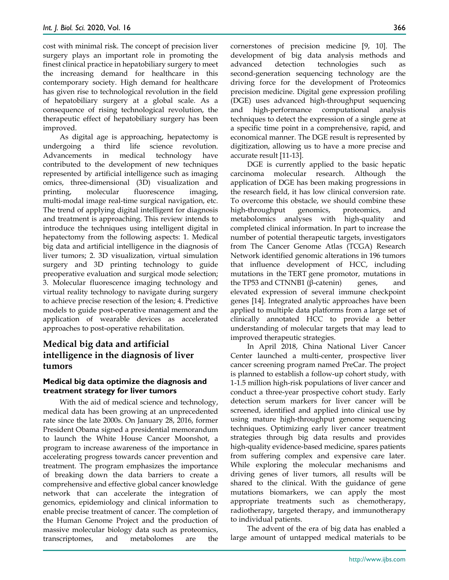cost with minimal risk. The concept of precision liver surgery plays an important role in promoting the finest clinical practice in hepatobiliary surgery to meet the increasing demand for healthcare in this contemporary society. High demand for healthcare has given rise to technological revolution in the field of hepatobiliary surgery at a global scale. As a consequence of rising technological revolution, the therapeutic effect of hepatobiliary surgery has been improved.

As digital age is approaching, hepatectomy is undergoing a third life science revolution. Advancements in medical technology have contributed to the development of new techniques represented by artificial intelligence such as imaging omics, three-dimensional (3D) visualization and printing, molecular fluorescence imaging, multi-modal image real-time surgical navigation, etc. The trend of applying digital intelligent for diagnosis and treatment is approaching. This review intends to introduce the techniques using intelligent digital in hepatectomy from the following aspects: 1. Medical big data and artificial intelligence in the diagnosis of liver tumors; 2. 3D visualization, virtual simulation surgery and 3D printing technology to guide preoperative evaluation and surgical mode selection; 3. Molecular fluorescence imaging technology and virtual reality technology to navigate during surgery to achieve precise resection of the lesion; 4. Predictive models to guide post-operative management and the application of wearable devices as accelerated approaches to post-operative rehabilitation.

# **Medical big data and artificial intelligence in the diagnosis of liver tumors**

# **Medical big data optimize the diagnosis and treatment strategy for liver tumors**

With the aid of medical science and technology, medical data has been growing at an unprecedented rate since the late 2000s. On January 28, 2016, former President Obama signed a presidential memorandum to launch the White House Cancer Moonshot, a program to increase awareness of the importance in accelerating progress towards cancer prevention and treatment. The program emphasizes the importance of breaking down the data barriers to create a comprehensive and effective global cancer knowledge network that can accelerate the integration of genomics, epidemiology and clinical information to enable precise treatment of cancer. The completion of the Human Genome Project and the production of massive molecular biology data such as proteomics, transcriptomes, and metabolomes are the

cornerstones of precision medicine [9, 10]. The development of big data analysis methods and advanced detection technologies such as second-generation sequencing technology are the driving force for the development of Proteomics precision medicine. Digital gene expression profiling (DGE) uses advanced high-throughput sequencing and high-performance computational analysis techniques to detect the expression of a single gene at a specific time point in a comprehensive, rapid, and economical manner. The DGE result is represented by digitization, allowing us to have a more precise and accurate result [11-13].

DGE is currently applied to the basic hepatic carcinoma molecular research. Although the application of DGE has been making progressions in the research field, it has low clinical conversion rate. To overcome this obstacle, we should combine these high-throughput genomics, proteomics, and metabolomics analyses with high-quality and completed clinical information. In part to increase the number of potential therapeutic targets, investigators from The Cancer Genome Atlas (TCGA) Research Network identified genomic alterations in 196 tumors that influence development of HCC, including mutations in the TERT gene promotor, mutations in the TP53 and CTNNB1 (β-catenin) genes, and elevated expression of several immune checkpoint genes [14]. Integrated analytic approaches have been applied to multiple data platforms from a large set of clinically annotated HCC to provide a better understanding of molecular targets that may lead to improved therapeutic strategies.

In April 2018, China National Liver Cancer Center launched a multi-center, prospective liver cancer screening program named PreCar. The project is planned to establish a follow-up cohort study, with 1-1.5 million high-risk populations of liver cancer and conduct a three-year prospective cohort study. Early detection serum markers for liver cancer will be screened, identified and applied into clinical use by using mature high-throughput genome sequencing techniques. Optimizing early liver cancer treatment strategies through big data results and provides high-quality evidence-based medicine, spares patients from suffering complex and expensive care later. While exploring the molecular mechanisms and driving genes of liver tumors, all results will be shared to the clinical. With the guidance of gene mutations biomarkers, we can apply the most appropriate treatments such as chemotherapy, radiotherapy, targeted therapy, and immunotherapy to individual patients.

The advent of the era of big data has enabled a large amount of untapped medical materials to be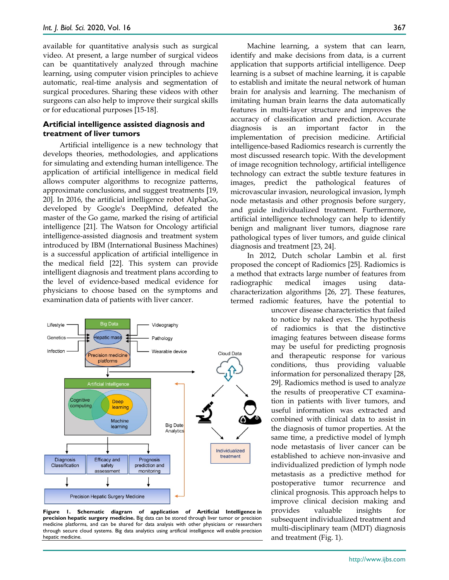available for quantitative analysis such as surgical video. At present, a large number of surgical videos can be quantitatively analyzed through machine learning, using computer vision principles to achieve automatic, real-time analysis and segmentation of surgical procedures. Sharing these videos with other surgeons can also help to improve their surgical skills or for educational purposes [15-18].

#### **Artificial intelligence assisted diagnosis and treatment of liver tumors**

Artificial intelligence is a new technology that develops theories, methodologies, and applications for simulating and extending human intelligence. The application of artificial intelligence in medical field allows computer algorithms to recognize patterns, approximate conclusions, and suggest treatments [19, 20]. In 2016, the artificial intelligence robot AlphaGo, developed by Google's DeepMind, defeated the master of the Go game, marked the rising of artificial intelligence [21]. The Watson for Oncology artificial intelligence-assisted diagnosis and treatment system introduced by IBM (International Business Machines) is a successful application of artificial intelligence in the medical field [22]. This system can provide intelligent diagnosis and treatment plans according to the level of evidence-based medical evidence for physicians to choose based on the symptoms and examination data of patients with liver cancer.



**Figure 1. Schematic diagram of application of Artificial Intelligence in precision hepatic surgery medicine.** Big data can be stored through liver tumor or precision medicine platforms, and can be shared for data analysis with other physicians or researchers through secure cloud systems. Big data analytics using artificial intelligence will enable precision hepatic medicine.

Machine learning, a system that can learn, identify and make decisions from data, is a current application that supports artificial intelligence. Deep learning is a subset of machine learning, it is capable to establish and imitate the neural network of human brain for analysis and learning. The mechanism of imitating human brain learns the data automatically features in multi-layer structure and improves the accuracy of classification and prediction. Accurate diagnosis is an important factor in the implementation of precision medicine. Artificial intelligence-based Radiomics research is currently the most discussed research topic. With the development of image recognition technology, artificial intelligence technology can extract the subtle texture features in images, predict the pathological features of microvascular invasion, neurological invasion, lymph node metastasis and other prognosis before surgery, and guide individualized treatment. Furthermore, artificial intelligence technology can help to identify benign and malignant liver tumors, diagnose rare pathological types of liver tumors, and guide clinical diagnosis and treatment [23, 24].

In 2012, Dutch scholar Lambin et al. first proposed the concept of Radiomics [25]. Radiomics is a method that extracts large number of features from radiographic medical images using datacharacterization algorithms [26, 27]. These features, termed radiomic features, have the potential to

uncover disease characteristics that failed to notice by naked eyes. The hypothesis of radiomics is that the distinctive imaging features between disease forms may be useful for predicting prognosis and therapeutic response for various conditions, thus providing valuable information for personalized therapy [28, 29]. Radiomics method is used to analyze the results of preoperative CT examination in patients with liver tumors, and useful information was extracted and combined with clinical data to assist in the diagnosis of tumor properties. At the same time, a predictive model of lymph node metastasis of liver cancer can be established to achieve non-invasive and individualized prediction of lymph node metastasis as a predictive method for postoperative tumor recurrence and clinical prognosis. This approach helps to improve clinical decision making and provides valuable insights for subsequent individualized treatment and multi-disciplinary team (MDT) diagnosis and treatment (Fig. 1).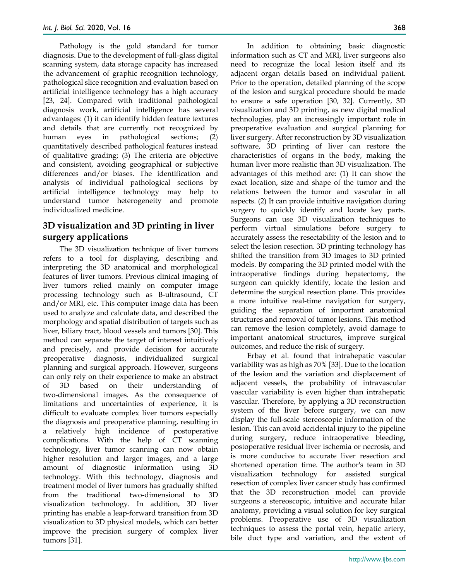Pathology is the gold standard for tumor diagnosis. Due to the development of full-glass digital scanning system, data storage capacity has increased the advancement of graphic recognition technology, pathological slice recognition and evaluation based on artificial intelligence technology has a high accuracy [23, 24]. Compared with traditional pathological diagnosis work, artificial intelligence has several advantages: (1) it can identify hidden feature textures and details that are currently not recognized by human eyes in pathological sections; (2) quantitatively described pathological features instead of qualitative grading; (3) The criteria are objective and consistent, avoiding geographical or subjective differences and/or biases. The identification and analysis of individual pathological sections by artificial intelligence technology may help to understand tumor heterogeneity and promote individualized medicine.

# **3D visualization and 3D printing in liver surgery applications**

The 3D visualization technique of liver tumors refers to a tool for displaying, describing and interpreting the 3D anatomical and morphological features of liver tumors. Previous clinical imaging of liver tumors relied mainly on computer image processing technology such as B-ultrasound, CT and/or MRI, etc. This computer image data has been used to analyze and calculate data, and described the morphology and spatial distribution of targets such as liver, biliary tract, blood vessels and tumors [30]. This method can separate the target of interest intuitively and precisely, and provide decision for accurate preoperative diagnosis, individualized surgical planning and surgical approach. However, surgeons can only rely on their experience to make an abstract of 3D based on their understanding of two-dimensional images. As the consequence of limitations and uncertainties of experience, it is difficult to evaluate complex liver tumors especially the diagnosis and preoperative planning, resulting in a relatively high incidence of postoperative complications. With the help of CT scanning technology, liver tumor scanning can now obtain higher resolution and larger images, and a large amount of diagnostic information using 3D technology. With this technology, diagnosis and treatment model of liver tumors has gradually shifted from the traditional two-dimensional to 3D visualization technology. In addition, 3D liver printing has enable a leap-forward transition from 3D visualization to 3D physical models, which can better improve the precision surgery of complex liver tumors [31].

In addition to obtaining basic diagnostic information such as CT and MRI, liver surgeons also need to recognize the local lesion itself and its adjacent organ details based on individual patient. Prior to the operation, detailed planning of the scope of the lesion and surgical procedure should be made to ensure a safe operation [30, 32]. Currently, 3D visualization and 3D printing, as new digital medical technologies, play an increasingly important role in preoperative evaluation and surgical planning for liver surgery. After reconstruction by 3D visualization software, 3D printing of liver can restore the characteristics of organs in the body, making the human liver more realistic than 3D visualization. The advantages of this method are: (1) It can show the exact location, size and shape of the tumor and the relations between the tumor and vascular in all aspects. (2) It can provide intuitive navigation during surgery to quickly identify and locate key parts. Surgeons can use 3D visualization techniques to perform virtual simulations before surgery to accurately assess the resectability of the lesion and to select the lesion resection. 3D printing technology has shifted the transition from 3D images to 3D printed models. By comparing the 3D printed model with the intraoperative findings during hepatectomy, the surgeon can quickly identify, locate the lesion and determine the surgical resection plane. This provides a more intuitive real-time navigation for surgery, guiding the separation of important anatomical structures and removal of tumor lesions. This method can remove the lesion completely, avoid damage to important anatomical structures, improve surgical outcomes, and reduce the risk of surgery.

Erbay et al. found that intrahepatic vascular variability was as high as 70% [33]. Due to the location of the lesion and the variation and displacement of adjacent vessels, the probability of intravascular vascular variability is even higher than intrahepatic vascular. Therefore, by applying a 3D reconstruction system of the liver before surgery, we can now display the full-scale stereoscopic information of the lesion. This can avoid accidental injury to the pipeline during surgery, reduce intraoperative bleeding, postoperative residual liver ischemia or necrosis, and is more conducive to accurate liver resection and shortened operation time. The author's team in 3D visualization technology for assisted surgical resection of complex liver cancer study has confirmed that the 3D reconstruction model can provide surgeons a stereoscopic, intuitive and accurate hilar anatomy, providing a visual solution for key surgical problems. Preoperative use of 3D visualization techniques to assess the portal vein, hepatic artery, bile duct type and variation, and the extent of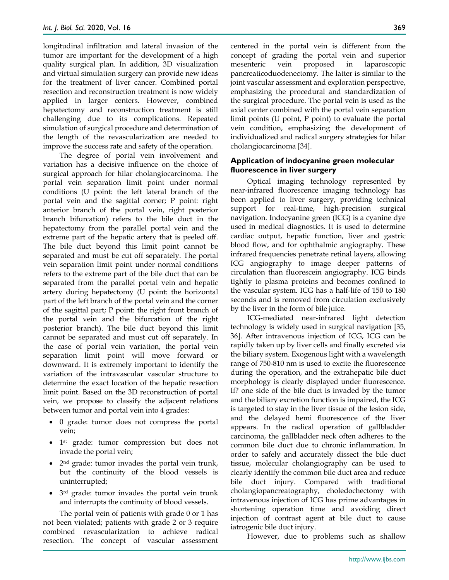longitudinal infiltration and lateral invasion of the tumor are important for the development of a high quality surgical plan. In addition, 3D visualization and virtual simulation surgery can provide new ideas for the treatment of liver cancer. Combined portal resection and reconstruction treatment is now widely applied in larger centers. However, combined hepatectomy and reconstruction treatment is still challenging due to its complications. Repeated simulation of surgical procedure and determination of the length of the revascularization are needed to improve the success rate and safety of the operation.

The degree of portal vein involvement and variation has a decisive influence on the choice of surgical approach for hilar cholangiocarcinoma. The portal vein separation limit point under normal conditions (U point: the left lateral branch of the portal vein and the sagittal corner; P point: right anterior branch of the portal vein, right posterior branch bifurcation) refers to the bile duct in the hepatectomy from the parallel portal vein and the extreme part of the hepatic artery that is peeled off. The bile duct beyond this limit point cannot be separated and must be cut off separately. The portal vein separation limit point under normal conditions refers to the extreme part of the bile duct that can be separated from the parallel portal vein and hepatic artery during hepatectomy (U point: the horizontal part of the left branch of the portal vein and the corner of the sagittal part; P point: the right front branch of the portal vein and the bifurcation of the right posterior branch). The bile duct beyond this limit cannot be separated and must cut off separately. In the case of portal vein variation, the portal vein separation limit point will move forward or downward. It is extremely important to identify the variation of the intravascular vascular structure to determine the exact location of the hepatic resection limit point. Based on the 3D reconstruction of portal vein, we propose to classify the adjacent relations between tumor and portal vein into 4 grades:

- 0 grade: tumor does not compress the portal vein;
- 1st grade: tumor compression but does not invade the portal vein;
- 2<sup>nd</sup> grade: tumor invades the portal vein trunk, but the continuity of the blood vessels is uninterrupted;
- 3rd grade: tumor invades the portal vein trunk and interrupts the continuity of blood vessels.

The portal vein of patients with grade 0 or 1 has not been violated; patients with grade 2 or 3 require combined revascularization to achieve radical resection. The concept of vascular assessment

centered in the portal vein is different from the concept of grading the portal vein and superior mesenteric vein proposed in laparoscopic pancreaticoduodenectomy. The latter is similar to the joint vascular assessment and exploration perspective, emphasizing the procedural and standardization of the surgical procedure. The portal vein is used as the axial center combined with the portal vein separation limit points (U point, P point) to evaluate the portal vein condition, emphasizing the development of individualized and radical surgery strategies for hilar cholangiocarcinoma [34].

# **Application of indocyanine green molecular fluorescence in liver surgery**

Optical imaging technology represented by near-infrared fluorescence imaging technology has been applied to liver surgery, providing technical support for real-time, high-precision surgical navigation. Indocyanine green (ICG) is a cyanine dye used in medical diagnostics. It is used to determine cardiac output, hepatic function, liver and gastric blood flow, and for ophthalmic angiography. These infrared frequencies penetrate retinal layers, allowing ICG angiography to image deeper patterns of circulation than fluorescein angiography. ICG binds tightly to plasma proteins and becomes confined to the vascular system. ICG has a half-life of 150 to 180 seconds and is removed from circulation exclusively by the liver in the form of bile juice.

ICG-mediated near-infrared light detection technology is widely used in surgical navigation [35, 36]. After intravenous injection of ICG, ICG can be rapidly taken up by liver cells and finally excreted via the biliary system. Exogenous light with a wavelength range of 750-810 nm is used to excite the fluorescence during the operation, and the extrahepatic bile duct morphology is clearly displayed under fluorescence. If? one side of the bile duct is invaded by the tumor and the biliary excretion function is impaired, the ICG is targeted to stay in the liver tissue of the lesion side, and the delayed hemi fluorescence of the liver appears. In the radical operation of gallbladder carcinoma, the gallbladder neck often adheres to the common bile duct due to chronic inflammation. In order to safely and accurately dissect the bile duct tissue, molecular cholangiography can be used to clearly identify the common bile duct area and reduce bile duct injury. Compared with traditional cholangiopancreatography, choledochectomy with intravenous injection of ICG has prime advantages in shortening operation time and avoiding direct injection of contrast agent at bile duct to cause iatrogenic bile duct injury.

However, due to problems such as shallow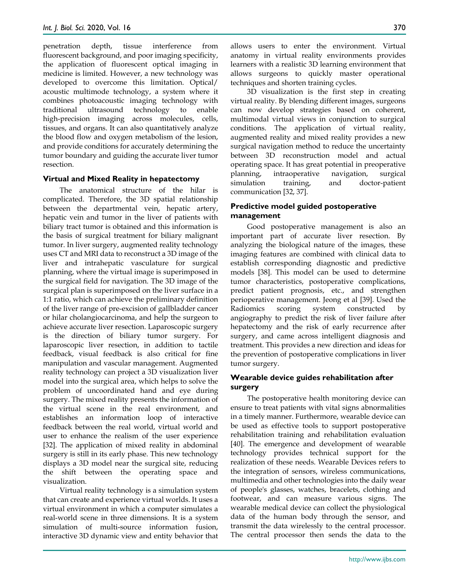penetration depth, tissue interference from fluorescent background, and poor imaging specificity, the application of fluorescent optical imaging in medicine is limited. However, a new technology was developed to overcome this limitation. Optical/ acoustic multimode technology, a system where it combines photoacoustic imaging technology with traditional ultrasound technology to enable high-precision imaging across molecules, cells, tissues, and organs. It can also quantitatively analyze the blood flow and oxygen metabolism of the lesion, and provide conditions for accurately determining the tumor boundary and guiding the accurate liver tumor resection.

#### **Virtual and Mixed Reality in hepatectomy**

The anatomical structure of the hilar is complicated. Therefore, the 3D spatial relationship between the departmental vein, hepatic artery, hepatic vein and tumor in the liver of patients with biliary tract tumor is obtained and this information is the basis of surgical treatment for biliary malignant tumor. In liver surgery, augmented reality technology uses CT and MRI data to reconstruct a 3D image of the liver and intrahepatic vasculature for surgical planning, where the virtual image is superimposed in the surgical field for navigation. The 3D image of the surgical plan is superimposed on the liver surface in a 1:1 ratio, which can achieve the preliminary definition of the liver range of pre-excision of gallbladder cancer or hilar cholangiocarcinoma, and help the surgeon to achieve accurate liver resection. Laparoscopic surgery is the direction of biliary tumor surgery. For laparoscopic liver resection, in addition to tactile feedback, visual feedback is also critical for fine manipulation and vascular management. Augmented reality technology can project a 3D visualization liver model into the surgical area, which helps to solve the problem of uncoordinated hand and eye during surgery. The mixed reality presents the information of the virtual scene in the real environment, and establishes an information loop of interactive feedback between the real world, virtual world and user to enhance the realism of the user experience [32]. The application of mixed reality in abdominal surgery is still in its early phase. This new technology displays a 3D model near the surgical site, reducing the shift between the operating space and visualization.

Virtual reality technology is a simulation system that can create and experience virtual worlds. It uses a virtual environment in which a computer simulates a real-world scene in three dimensions. It is a system simulation of multi-source information fusion, interactive 3D dynamic view and entity behavior that allows users to enter the environment. Virtual anatomy in virtual reality environments provides learners with a realistic 3D learning environment that allows surgeons to quickly master operational techniques and shorten training cycles.

3D visualization is the first step in creating virtual reality. By blending different images, surgeons can now develop strategies based on coherent, multimodal virtual views in conjunction to surgical conditions. The application of virtual reality, augmented reality and mixed reality provides a new surgical navigation method to reduce the uncertainty between 3D reconstruction model and actual operating space. It has great potential in preoperative planning, intraoperative navigation, surgical simulation training, and doctor-patient communication [32, 37].

#### **Predictive model guided postoperative management**

Good postoperative management is also an important part of accurate liver resection. By analyzing the biological nature of the images, these imaging features are combined with clinical data to establish corresponding diagnostic and predictive models [38]. This model can be used to determine tumor characteristics, postoperative complications, predict patient prognosis, etc., and strengthen perioperative management. Jeong et al [39]. Used the Radiomics scoring system constructed by angiography to predict the risk of liver failure after hepatectomy and the risk of early recurrence after surgery, and came across intelligent diagnosis and treatment. This provides a new direction and ideas for the prevention of postoperative complications in liver tumor surgery.

# **Wearable device guides rehabilitation after surgery**

The postoperative health monitoring device can ensure to treat patients with vital signs abnormalities in a timely manner. Furthermore, wearable device can be used as effective tools to support postoperative rehabilitation training and rehabilitation evaluation [40]. The emergence and development of wearable technology provides technical support for the realization of these needs. Wearable Devices refers to the integration of sensors, wireless communications, multimedia and other technologies into the daily wear of people's glasses, watches, bracelets, clothing and footwear, and can measure various signs. The wearable medical device can collect the physiological data of the human body through the sensor, and transmit the data wirelessly to the central processor. The central processor then sends the data to the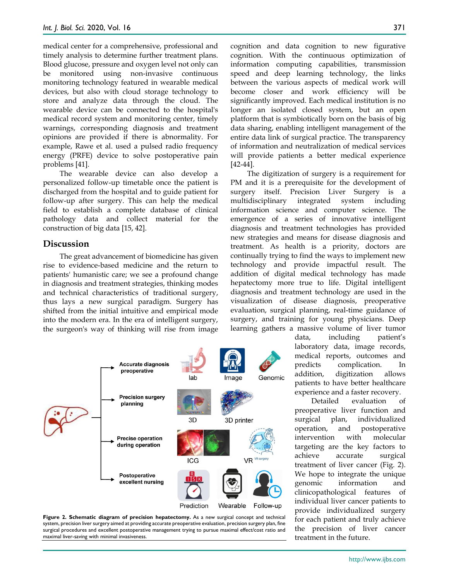medical center for a comprehensive, professional and timely analysis to determine further treatment plans. Blood glucose, pressure and oxygen level not only can be monitored using non-invasive continuous monitoring technology featured in wearable medical devices, but also with cloud storage technology to store and analyze data through the cloud. The wearable device can be connected to the hospital's medical record system and monitoring center, timely warnings, corresponding diagnosis and treatment opinions are provided if there is abnormality. For example, Rawe et al. used a pulsed radio frequency energy (PRFE) device to solve postoperative pain problems [41].

The wearable device can also develop a personalized follow-up timetable once the patient is discharged from the hospital and to guide patient for follow-up after surgery. This can help the medical field to establish a complete database of clinical pathology data and collect material for the construction of big data [15, 42].

#### **Discussion**

The great advancement of biomedicine has given rise to evidence-based medicine and the return to patients' humanistic care; we see a profound change in diagnosis and treatment strategies, thinking modes and technical characteristics of traditional surgery, thus lays a new surgical paradigm. Surgery has shifted from the initial intuitive and empirical mode into the modern era. In the era of intelligent surgery, the surgeon's way of thinking will rise from image

Accurate diagnosis preoperative Genomic **Precision surgery** planning 3D 3D printer **Precise operation** during operation ICG **VR** Postoperative excellent nursing Wearable Follow-un Prediction



cognition and data cognition to new figurative cognition. With the continuous optimization of information computing capabilities, transmission speed and deep learning technology, the links between the various aspects of medical work will become closer and work efficiency will be significantly improved. Each medical institution is no longer an isolated closed system, but an open platform that is symbiotically born on the basis of big data sharing, enabling intelligent management of the entire data link of surgical practice. The transparency of information and neutralization of medical services will provide patients a better medical experience [42-44].

The digitization of surgery is a requirement for PM and it is a prerequisite for the development of surgery itself. Precision Liver Surgery is a multidisciplinary integrated system including information science and computer science. The emergence of a series of innovative intelligent diagnosis and treatment technologies has provided new strategies and means for disease diagnosis and treatment. As health is a priority, doctors are continually trying to find the ways to implement new technology and provide impactful result. The addition of digital medical technology has made hepatectomy more true to life. Digital intelligent diagnosis and treatment technology are used in the visualization of disease diagnosis, preoperative evaluation, surgical planning, real-time guidance of surgery, and training for young physicians. Deep learning gathers a massive volume of liver tumor

data, including patient's laboratory data, image records, medical reports, outcomes and predicts complication. In addition, digitization allows patients to have better healthcare experience and a faster recovery.

Detailed evaluation of preoperative liver function and surgical plan, individualized operation, and postoperative intervention with molecular targeting are the key factors to achieve accurate surgical treatment of liver cancer (Fig. 2). We hope to integrate the unique genomic information and clinicopathological features of individual liver cancer patients to provide individualized surgery for each patient and truly achieve the precision of liver cancer treatment in the future.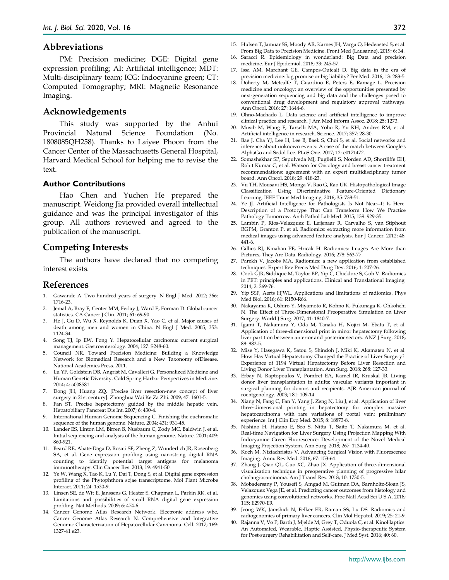#### **Abbreviations**

PM: Precision medicine; DGE: Digital gene expression profiling; AI: Artificial intelligence; MDT: Multi-disciplinary team; ICG: Indocyanine green; CT: Computed Tomography; MRI: Magnetic Resonance Imaging.

#### **Acknowledgements**

This study was supported by the Anhui Provincial Natural Science Foundation (No. 1808085QH258). Thanks to Laiyee Phoon from the Cancer Center of the Massachusetts General Hospital, Harvard Medical School for helping me to revise the text.

#### **Author Contributions**

Hao Chen and Yuchen He prepared the manuscript. Weidong Jia provided overall intellectual guidance and was the principal investigator of this group. All authors reviewed and agreed to the publication of the manuscript.

# **Competing Interests**

The authors have declared that no competing interest exists.

### **References**

- 1. Gawande A. Two hundred years of surgery. N Engl J Med. 2012; 366: 1716-23.
- 2. Jemal A, Bray F, Center MM, Ferlay J, Ward E, Forman D. Global cancer statistics. CA Cancer J Clin. 2011; 61: 69-90.
- 3. He J, Gu D, Wu X, Reynolds K, Duan X, Yao C, et al. Major causes of death among men and women in China. N Engl J Med. 2005; 353: 1124-34.
- 4. Song TJ, Ip EW, Fong Y. Hepatocellular carcinoma: current surgical management. Gastroenterology. 2004; 127: S248-60.
- 5. Council NR. Toward Precision Medicine: Building a Knowledge Network for Biomedical Research and a New Taxonomy ofDisease. National Academies Press. 2011.
- 6. Lu YF, Goldstein DB, Angrist M, Cavalleri G. Personalized Medicine and Human Genetic Diversity. Cold Spring Harbor Perspectives in Medicine. 2014; 4: a008581.
- 7. Dong JH, Huang ZQ. [Precise liver resection-new concept of liver surgery in 21st century]. Zhonghua Wai Ke Za Zhi. 2009; 47: 1601-5.
- 8. Fan ST. Precise hepatectomy guided by the middle hepatic vein. Hepatobiliary Pancreat Dis Int. 2007; 6: 430-4.
- 9. International Human Genome Sequencing C. Finishing the euchromatic sequence of the human genome. Nature. 2004; 431: 931-45.
- 10. Lander ES, Linton LM, Birren B, Nusbaum C, Zody MC, Baldwin J, et al. Initial sequencing and analysis of the human genome. Nature. 2001; 409: 860-921.
- 11. Beard RE, Abate-Daga D, Rosati SF, Zheng Z, Wunderlich JR, Rosenberg SA, et al. Gene expression profiling using nanostring digital RNA counting to identify potential target antigens for melanoma immunotherapy. Clin Cancer Res. 2013; 19: 4941-50.
- 12. Ye W, Wang X, Tao K, Lu Y, Dai T, Dong S, et al. Digital gene expression profiling of the Phytophthora sojae transcriptome. Mol Plant Microbe Interact. 2011; 24: 1530-9.
- 13. Linsen SE, de Wit E, Janssens G, Heater S, Chapman L, Parkin RK, et al. Limitations and possibilities of small RNA digital gene expression profiling. Nat Methods. 2009; 6: 474-6.
- 14. Cancer Genome Atlas Research Network. Electronic address wbe, Cancer Genome Atlas Research N. Comprehensive and Integrative Genomic Characterization of Hepatocellular Carcinoma. Cell. 2017; 169: 1327-41 e23.
- 15. Hulsen T, Jamuar SS, Moody AR, Karnes JH, Varga O, Hedensted S, et al. From Big Data to Precision Medicine. Front Med (Lausanne). 2019; 6: 34.
- 16. Saracci R. Epidemiology in wonderland: Big Data and precision medicine. Eur J Epidemiol. 2018; 33: 245-57.
- 17. Issa AM, Marchant GE, Campos-Outcalt D. Big data in the era of precision medicine: big promise or big liability? Per Med. 2016; 13: 283-5.
- 18. Doherty M, Metcalfe T, Guardino E, Peters E, Ramage L. Precision medicine and oncology: an overview of the opportunities presented by next-generation sequencing and big data and the challenges posed to conventional drug development and regulatory approval pathways. Ann Oncol. 2016; 27: 1644-6.
- 19. Ohno-Machado L. Data science and artificial intelligence to improve clinical practice and research. J Am Med Inform Assoc. 2018; 25: 1273.
- 20. Musib M, Wang F, Tarselli MA, Yoho R, Yu KH, Andres RM, et al. Artificial intelligence in research. Science. 2017; 357: 28-30.
- 21. Bae J, Cha YJ, Lee H, Lee B, Baek S, Choi S, et al. Social networks and inference about unknown events: A case of the match between Google's AlphaGo and Sedol Lee. PLoS One. 2017; 12: e0171472.
- 22. Somashekhar SP, Sepulveda MJ, Puglielli S, Norden AD, Shortliffe EH, Rohit Kumar C, et al. Watson for Oncology and breast cancer treatment recommendations: agreement with an expert multidisciplinary tumor board. Ann Oncol. 2018; 29: 418-23.
- 23. Vu TH, Mousavi HS, Monga V, Rao G, Rao UK. Histopathological Image Classification Using Discriminative Feature-Oriented Dictionary Learning. IEEE Trans Med Imaging. 2016; 35: 738-51.
- 24. Ye JJ. Artificial Intelligence for Pathologists Is Not Near--It Is Here: Description of a Prototype That Can Transform How We Practice Pathology Tomorrow. Arch Pathol Lab Med. 2015; 139: 929-35.
- 25. Lambin P, Rios-Velazquez E, Leijenaar R, Carvalho S, van Stiphout RGPM, Granton P, et al. Radiomics: extracting more information from medical images using advanced feature analysis. Eur J Cancer. 2012; 48: 441-6.
- 26. Gillies RJ, Kinahan PE, Hricak H. Radiomics: Images Are More than Pictures, They Are Data. Radiology. 2016; 278: 563-77.
- 27. Parekh V, Jacobs MA. Radiomics: a new application from established techniques. Expert Rev Precis Med Drug Dev. 2016; 1: 207-26.
- 28. Cook GJR, Siddique M, Taylor BP, Yip C, Chicklore S, Goh V. Radiomics in PET: principles and applications. Clinical and Translational Imaging. 2014; 2: 269-76.
- 29. Yip SSF, Aerts HJWL. Applications and limitations of radiomics. Phys Med Biol. 2016; 61: R150-R66.
- 30. Nakayama K, Oshiro Y, Miyamoto R, Kohno K, Fukunaga K, Ohkohchi N. The Effect of Three-Dimensional Preoperative Simulation on Liver Surgery. World J Surg. 2017; 41: 1840-7.
- 31. Igami T, Nakamura Y, Oda M, Tanaka H, Nojiri M, Ebata T, et al. Application of three-dimensional print in minor hepatectomy following liver partition between anterior and posterior sectors. ANZ J Surg. 2018; 88: 882-5.
- 32. Mise Y, Hasegawa K, Satou S, Shindoh J, Miki K, Akamatsu N, et al. How Has Virtual Hepatectomy Changed the Practice of Liver Surgery?: Experience of 1194 Virtual Hepatectomy Before Liver Resection and Living Donor Liver Transplantation. Ann Surg. 2018; 268: 127-33.
- 33. Erbay N, Raptopoulos V, Pomfret EA, Kamel IR, Kruskal JB. Living donor liver transplantation in adults: vascular variants important in surgical planning for donors and recipients. AJR American journal of roentgenology. 2003; 181: 109-14.
- 34. Xiang N, Fang C, Fan Y, Yang J, Zeng N, Liu J, et al. Application of liver three-dimensional printing in hepatectomy for complex massive hepatocarcinoma with rare variations of portal vein: preliminary experience. Int J Clin Exp Med. 2015; 8: 18873-8.
- 35. Nishino H, Hatano E, Seo S, Nitta T, Saito T, Nakamura M, et al. Real-time Navigation for Liver Surgery Using Projection Mapping With Indocyanine Green Fluorescence: Development of the Novel Medical Imaging Projection System. Ann Surg. 2018; 267: 1134-40.
- 36. Koch M, Ntziachristos V. Advancing Surgical Vision with Fluorescence Imaging. Annu Rev Med. 2016; 67: 153-64.
- 37. Zhang J, Qiao QL, Guo XC, Zhao JX. Application of three-dimensional visualization technique in preoperative planning of progressive hilar cholangiocarcinoma. Am J Transl Res. 2018; 10: 1730-5.
- 38. Mobadersany P, Yousefi S, Amgad M, Gutman DA, Barnholtz-Sloan JS, Velazquez Vega JE, et al. Predicting cancer outcomes from histology and genomics using convolutional networks. Proc Natl Acad Sci U S A. 2018; 115: E2970-E9.
- 39. Jeong WK, Jamshidi N, Felker ER, Raman SS, Lu DS. Radiomics and radiogenomics of primary liver cancers. Clin Mol Hepatol. 2019; 25: 21-9.
- 40. Rajanna V, Vo P, Barth J, Mjelde M, Grey T, Oduola C, et al. KinoHaptics: An Automated, Wearable, Haptic Assisted, Physio-therapeutic System for Post-surgery Rehabilitation and Self-care. J Med Syst. 2016; 40: 60.